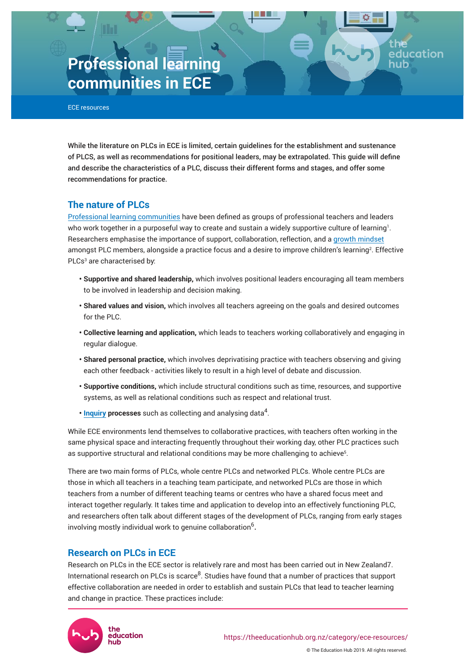# **Professional learning communities in ECE**

ECE resources

While the literature on PLCs in ECE is limited, certain guidelines for the establishment and sustenance of PLCS, as well as recommendations for positional leaders, may be extrapolated. This guide will define and describe the characteristics of a PLC, discuss their different forms and stages, and offer some recommendations for practice.

# **The nature of PLCs**

[Professional learning communities](https://theeducationhub.org.nz/an-introduction-to-professional-learning-communities/) have been defined as groups of professional teachers and leaders who work together in a purposeful way to create and sustain a widely supportive culture of learning<sup>1</sup>. Researchers emphasise the importance of support, collaboration, reflection, and a [growth mindset](https://theeducationhub.org.nz/an-introduction-to-growth-mindset-2/) amongst PLC members, alongside a practice focus and a desire to improve children's learning<sup>2</sup> . Effective PLCs<sup>3</sup> are characterised by:

- **Supportive and shared leadership,** which involves positional leaders encouraging all team members to be involved in leadership and decision making.
- **Shared values and vision,** which involves all teachers agreeing on the goals and desired outcomes for the PLC.
- **Collective learning and application,** which leads to teachers working collaboratively and engaging in regular dialogue.
- **Shared personal practice,** which involves deprivatising practice with teachers observing and giving each other feedback - activities likely to result in a high level of debate and discussion.
- **Supportive conditions,** which include structural conditions such as time, resources, and supportive systems, as well as relational conditions such as respect and relational trust.
- **[Inquiry](https://theeducationhub.org.nz/category/ece-resources/teacher-inquiry-in-ece/) processes** such as collecting and analysing data<sup>4</sup>.

While ECE environments lend themselves to collaborative practices, with teachers often working in the same physical space and interacting frequently throughout their working day, other PLC practices such as supportive structural and relational conditions may be more challenging to achieve<sup>5</sup>.

There are two main forms of PLCs, whole centre PLCs and networked PLCs. Whole centre PLCs are those in which all teachers in a teaching team participate, and networked PLCs are those in which teachers from a number of different teaching teams or centres who have a shared focus meet and interact together regularly. It takes time and application to develop into an effectively functioning PLC, and researchers often talk about different stages of the development of PLCs, ranging from early stages involving mostly individual work to genuine collaboration $^6$ .

# **Research on PLCs in ECE**

Research on PLCs in the ECE sector is relatively rare and most has been carried out in New Zealand7. International research on PLCs is scarce $^8$ . Studies have found that a number of practices that support effective collaboration are needed in order to establish and sustain PLCs that lead to teacher learning and change in practice. These practices include:



ıcation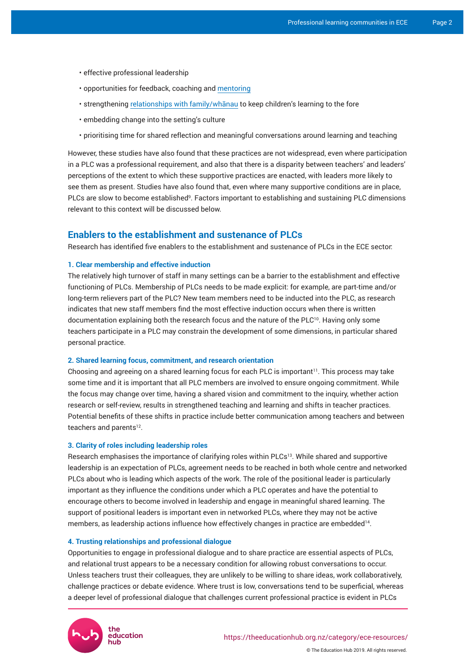- effective professional leadership
- opportunities for feedback, coaching and [mentoring](https://theeducationhub.org.nz/the-value-of-mentoring-for-teacher-learning/)
- strengthening [relationships with family/whānau](https://theeducationhub.org.nz/category/ece-resources/parent-and-whanau-relationships-in-ece/) to keep children's learning to the fore
- embedding change into the setting's culture
- prioritising time for shared reflection and meaningful conversations around learning and teaching

However, these studies have also found that these practices are not widespread, even where participation in a PLC was a professional requirement, and also that there is a disparity between teachers' and leaders' perceptions of the extent to which these supportive practices are enacted, with leaders more likely to see them as present. Studies have also found that, even where many supportive conditions are in place, PLCs are slow to become established<sup>9</sup>. Factors important to establishing and sustaining PLC dimensions relevant to this context will be discussed below.

# **Enablers to the establishment and sustenance of PLCs**

Research has identified five enablers to the establishment and sustenance of PLCs in the ECE sector:

## **1. Clear membership and effective induction**

The relatively high turnover of staff in many settings can be a barrier to the establishment and effective functioning of PLCs. Membership of PLCs needs to be made explicit: for example, are part-time and/or long-term relievers part of the PLC? New team members need to be inducted into the PLC, as research indicates that new staff members find the most effective induction occurs when there is written documentation explaining both the research focus and the nature of the PLC<sup>10</sup>. Having only some teachers participate in a PLC may constrain the development of some dimensions, in particular shared personal practice.

### **2. Shared learning focus, commitment, and research orientation**

Choosing and agreeing on a shared learning focus for each PLC is important<sup>11</sup>. This process may take some time and it is important that all PLC members are involved to ensure ongoing commitment. While the focus may change over time, having a shared vision and commitment to the inquiry, whether action research or self-review, results in strengthened teaching and learning and shifts in teacher practices. Potential benefits of these shifts in practice include better communication among teachers and between teachers and parents<sup>12</sup>.

#### **3. Clarity of roles including leadership roles**

Research emphasises the importance of clarifying roles within PLCs<sup>13</sup>. While shared and supportive leadership is an expectation of PLCs, agreement needs to be reached in both whole centre and networked PLCs about who is leading which aspects of the work. The role of the positional leader is particularly important as they influence the conditions under which a PLC operates and have the potential to encourage others to become involved in leadership and engage in meaningful shared learning. The support of positional leaders is important even in networked PLCs, where they may not be active members, as leadership actions influence how effectively changes in practice are embedded<sup>14</sup> .

#### **4. Trusting relationships and professional dialogue**

Opportunities to engage in professional dialogue and to share practice are essential aspects of PLCs, and relational trust appears to be a necessary condition for allowing robust conversations to occur. Unless teachers trust their colleagues, they are unlikely to be willing to share ideas, work collaboratively, challenge practices or debate evidence. Where trust is low, conversations tend to be superficial, whereas a deeper level of professional dialogue that challenges current professional practice is evident in PLCs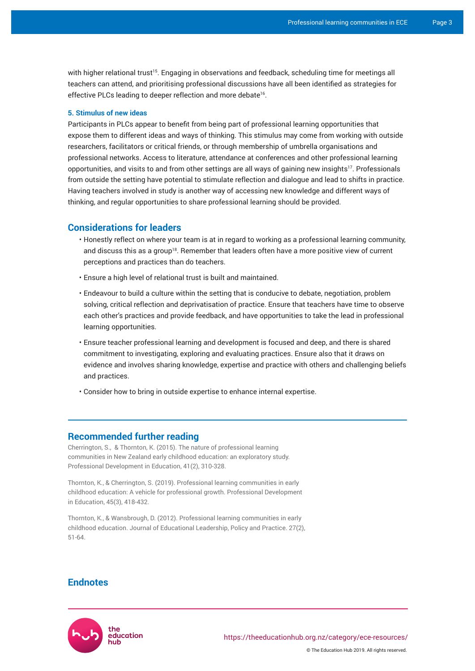with higher relational trust<sup>15</sup>. Engaging in observations and feedback, scheduling time for meetings all teachers can attend, and prioritising professional discussions have all been identified as strategies for effective PLCs leading to deeper reflection and more debate<sup>16</sup>.

#### **5. Stimulus of new ideas**

Participants in PLCs appear to benefit from being part of professional learning opportunities that expose them to different ideas and ways of thinking. This stimulus may come from working with outside researchers, facilitators or critical friends, or through membership of umbrella organisations and professional networks. Access to literature, attendance at conferences and other professional learning opportunities, and visits to and from other settings are all ways of gaining new insights<sup>17</sup>. Professionals from outside the setting have potential to stimulate reflection and dialogue and lead to shifts in practice. Having teachers involved in study is another way of accessing new knowledge and different ways of thinking, and regular opportunities to share professional learning should be provided.

# **Considerations for leaders**

- Honestly reflect on where your team is at in regard to working as a professional learning community, and discuss this as a group<sup>18</sup>. Remember that leaders often have a more positive view of current perceptions and practices than do teachers.
- Ensure a high level of relational trust is built and maintained.
- Endeavour to build a culture within the setting that is conducive to debate, negotiation, problem solving, critical reflection and deprivatisation of practice. Ensure that teachers have time to observe each other's practices and provide feedback, and have opportunities to take the lead in professional learning opportunities.
- Ensure teacher professional learning and development is focused and deep, and there is shared commitment to investigating, exploring and evaluating practices. Ensure also that it draws on evidence and involves sharing knowledge, expertise and practice with others and challenging beliefs and practices.
- Consider how to bring in outside expertise to enhance internal expertise.

# **Recommended further reading**

Cherrington, S., & Thornton, K. (2015). The nature of professional learning communities in New Zealand early childhood education: an exploratory study. Professional Development in Education, 41(2), 310-328.

Thornton, K., & Cherrington, S. (2019). Professional learning communities in early childhood education: A vehicle for professional growth. Professional Development in Education, 45(3), 418-432.

Thornton, K., & Wansbrough, D. (2012). Professional learning communities in early childhood education. Journal of Educational Leadership, Policy and Practice. 27(2), 51-64.

# **Endnotes**

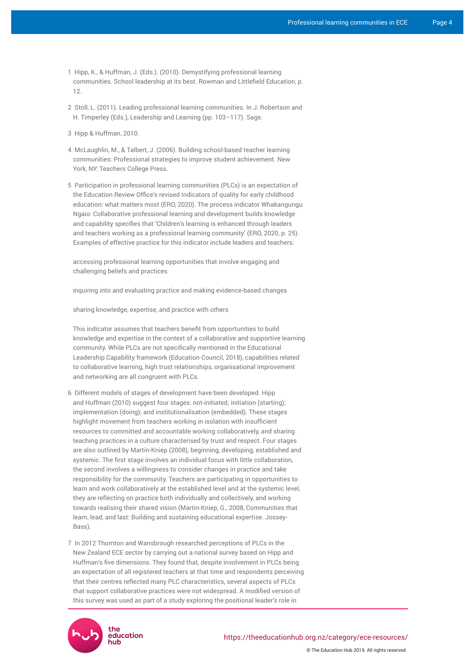- 1 Hipp, K., & Huffman, J. (Eds.). (2010). Demystifying professional learning communities. School leadership at its best. Rowman and Littlefield Education, p. 12.
- 2 Stoll, L. (2011). Leading professional learning communities. In J. Robertson and H. Timperley (Eds.), Leadership and Learning (pp. 103–117). Sage.
- 3 Hipp & Huffman, 2010.
- 4 McLaughlin, M., & Talbert, J. (2006). Building school-based teacher learning communities: Professional strategies to improve student achievement. New York, NY: Teachers College Press.
- 5 Participation in professional learning communities (PLCs) is an expectation of the Education Review Office's revised Indicators of quality for early childhood education: what matters most (ERO, 2020). The process indicator Whakangungu Ngaio: Collaborative professional learning and development builds knowledge and capability specifies that 'Children's learning is enhanced through leaders and teachers working as a professional learning community' (ERO, 2020, p. 25). Examples of effective practice for this indicator include leaders and teachers:

accessing professional learning opportunities that involve engaging and challenging beliefs and practices

inquiring into and evaluating practice and making evidence-based changes

sharing knowledge, expertise, and practice with others

This indicator assumes that teachers benefit from opportunities to build knowledge and expertise in the context of a collaborative and supportive learning community. While PLCs are not specifically mentioned in the Educational Leadership Capability framework (Education Council, 2018), capabilities related to collaborative learning, high trust relationships, organisational improvement and networking are all congruent with PLCs.

- 6 Different models of stages of development have been developed. Hipp and Huffman (2010) suggest four stages: not-initiated; initiation (starting); implementation (doing); and institutionalisation (embedded). These stages highlight movement from teachers working in isolation with insufficient resources to committed and accountable working collaboratively, and sharing teaching practices in a culture characterised by trust and respect. Four stages are also outlined by Martin-Kniep (2008), beginning, developing, established and systemic. The first stage involves an individual focus with little collaboration, the second involves a willingness to consider changes in practice and take responsibility for the community. Teachers are participating in opportunities to learn and work collaboratively at the established level and at the systemic level, they are reflecting on practice both individually and collectively, and working towards realising their shared vision (Martin-Kniep, G., 2008, Communities that learn, lead, and last: Building and sustaining educational expertise. Jossey-Bass).
- 7 In 2012 Thornton and Wansbrough researched perceptions of PLCs in the New Zealand ECE sector by carrying out a national survey based on Hipp and Huffman's five dimensions. They found that, despite involvement in PLCs being an expectation of all registered teachers at that time and respondents perceiving that their centres reflected many PLC characteristics, several aspects of PLCs that support collaborative practices were not widespread. A modified version of this survey was used as part of a study exploring the positional leader's role in

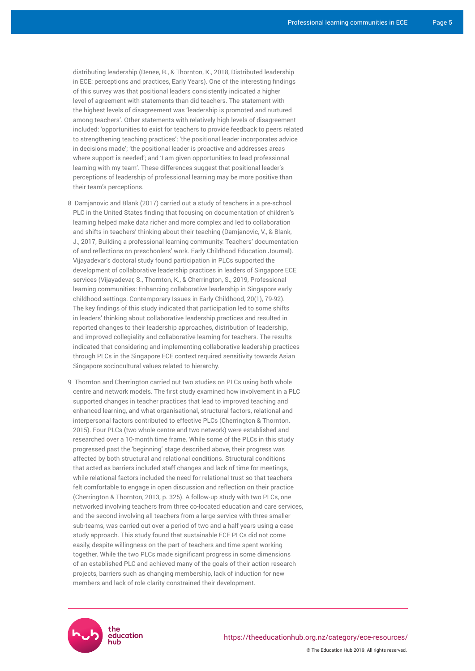distributing leadership (Denee, R., & Thornton, K., 2018, Distributed leadership in ECE: perceptions and practices, Early Years). One of the interesting findings of this survey was that positional leaders consistently indicated a higher level of agreement with statements than did teachers. The statement with the highest levels of disagreement was 'leadership is promoted and nurtured among teachers'. Other statements with relatively high levels of disagreement included: 'opportunities to exist for teachers to provide feedback to peers related to strengthening teaching practices'; 'the positional leader incorporates advice in decisions made'; 'the positional leader is proactive and addresses areas where support is needed'; and 'I am given opportunities to lead professional learning with my team'. These differences suggest that positional leader's perceptions of leadership of professional learning may be more positive than their team's perceptions.

- 8 Damjanovic and Blank (2017) carried out a study of teachers in a pre-school PLC in the United States finding that focusing on documentation of children's learning helped make data richer and more complex and led to collaboration and shifts in teachers' thinking about their teaching (Damjanovic, V., & Blank, J., 2017, Building a professional learning community: Teachers' documentation of and reflections on preschoolers' work. Early Childhood Education Journal). Vijayadevar's doctoral study found participation in PLCs supported the development of collaborative leadership practices in leaders of Singapore ECE services (Vijayadevar, S., Thornton, K., & Cherrington, S., 2019, Professional learning communities: Enhancing collaborative leadership in Singapore early childhood settings. Contemporary Issues in Early Childhood, 20(1), 79-92). The key findings of this study indicated that participation led to some shifts in leaders' thinking about collaborative leadership practices and resulted in reported changes to their leadership approaches, distribution of leadership, and improved collegiality and collaborative learning for teachers. The results indicated that considering and implementing collaborative leadership practices through PLCs in the Singapore ECE context required sensitivity towards Asian Singapore sociocultural values related to hierarchy.
- 9 Thornton and Cherrington carried out two studies on PLCs using both whole centre and network models. The first study examined how involvement in a PLC supported changes in teacher practices that lead to improved teaching and enhanced learning, and what organisational, structural factors, relational and interpersonal factors contributed to effective PLCs (Cherrington & Thornton, 2015). Four PLCs (two whole centre and two network) were established and researched over a 10-month time frame. While some of the PLCs in this study progressed past the 'beginning' stage described above, their progress was affected by both structural and relational conditions. Structural conditions that acted as barriers included staff changes and lack of time for meetings, while relational factors included the need for relational trust so that teachers felt comfortable to engage in open discussion and reflection on their practice (Cherrington & Thornton, 2013, p. 325). A follow-up study with two PLCs, one networked involving teachers from three co-located education and care services, and the second involving all teachers from a large service with three smaller sub-teams, was carried out over a period of two and a half years using a case study approach. This study found that sustainable ECE PLCs did not come easily, despite willingness on the part of teachers and time spent working together. While the two PLCs made significant progress in some dimensions of an established PLC and achieved many of the goals of their action research projects, barriers such as changing membership, lack of induction for new members and lack of role clarity constrained their development.